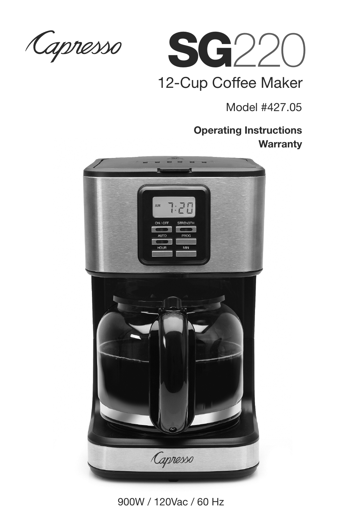Capresso



### 12-Cup Coffee Maker

Model #427.05

### **Operating Instructions Warranty**



900W / 120Vac / 60 Hz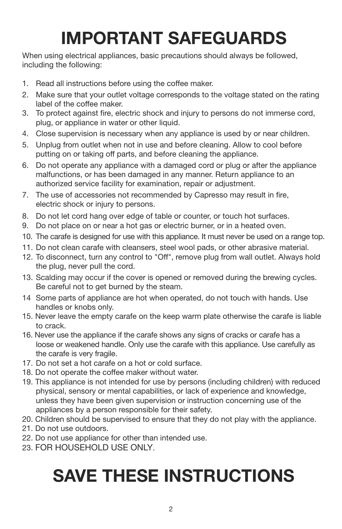## **IMPORTANT SAFEGUARDS**

When using electrical appliances, basic precautions should always be followed, including the following:

- 1. Read all instructions before using the coffee maker.
- 2. Make sure that your outlet voltage corresponds to the voltage stated on the rating label of the coffee maker.
- 3. To protect against fire, electric shock and injury to persons do not immerse cord, plug, or appliance in water or other liquid.
- 4. Close supervision is necessary when any appliance is used by or near children.
- 5. Unplug from outlet when not in use and before cleaning. Allow to cool before putting on or taking off parts, and before cleaning the appliance.
- 6. Do not operate any appliance with a damaged cord or plug or after the appliance malfunctions, or has been damaged in any manner. Return appliance to an authorized service facility for examination, repair or adjustment.
- 7. The use of accessories not recommended by Capresso may result in fire, electric shock or injury to persons.
- 8. Do not let cord hang over edge of table or counter, or touch hot surfaces.
- 9. Do not place on or near a hot gas or electric burner, or in a heated oven.
- 10. The carafe is designed for use with this appliance. It must never be used on a range top.
- 11. Do not clean carafe with cleansers, steel wool pads, or other abrasive material.
- 12. To disconnect, turn any control to "Off", remove plug from wall outlet. Always hold the plug, never pull the cord.
- 13. Scalding may occur if the cover is opened or removed during the brewing cycles. Be careful not to get burned by the steam.
- 14 Some parts of appliance are hot when operated, do not touch with hands. Use handles or knobs only.
- 15. Never leave the empty carafe on the keep warm plate otherwise the carafe is liable to crack.
- 16. Never use the appliance if the carafe shows any signs of cracks or carafe has a loose or weakened handle. Only use the carafe with this appliance. Use carefully as the carafe is very fragile.
- 17. Do not set a hot carafe on a hot or cold surface.
- 18. Do not operate the coffee maker without water.
- 19. This appliance is not intended for use by persons (including children) with reduced physical, sensory or mental capabilities, or lack of experience and knowledge, unless they have been given supervision or instruction concerning use of the appliances by a person responsible for their safety.
- 20. Children should be supervised to ensure that they do not play with the appliance.
- 21. Do not use outdoors.
- 22. Do not use appliance for other than intended use.
- 23. FOR HOUSEHOLD USE ONLY.

# **SAVE THESE INSTRUCTIONS**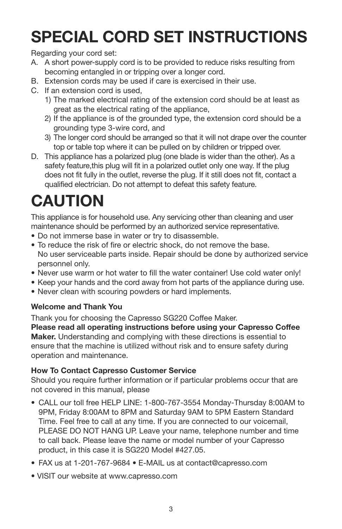### **SPECIAL CORD SET INSTRUCTIONS**

Regarding your cord set:

- A. A short power-supply cord is to be provided to reduce risks resulting from becoming entangled in or tripping over a longer cord.
- B. Extension cords may be used if care is exercised in their use.
- C. If an extension cord is used,
	- 1) The marked electrical rating of the extension cord should be at least as great as the electrical rating of the appliance,
	- 2) If the appliance is of the grounded type, the extension cord should be a grounding type 3-wire cord, and
	- 3) The longer cord should be arranged so that it will not drape over the counter top or table top where it can be pulled on by children or tripped over.
- D. This appliance has a polarized plug (one blade is wider than the other). As a safety feature,this plug will fit in a polarized outlet only one way. If the plug does not fit fully in the outlet, reverse the plug. If it still does not fit, contact a qualified electrician. Do not attempt to defeat this safety feature.

### **CAUTION**

This appliance is for household use. Any servicing other than cleaning and user maintenance should be performed by an authorized service representative.

- Do not immerse base in water or try to disassemble.
- To reduce the risk of fire or electric shock, do not remove the base. No user serviceable parts inside. Repair should be done by authorized service personnel only.
- Never use warm or hot water to fill the water container! Use cold water only!
- Keep your hands and the cord away from hot parts of the appliance during use.
- Never clean with scouring powders or hard implements.

#### **Welcome and Thank You**

Thank you for choosing the Capresso SG220 Coffee Maker.

**Please read all operating instructions before using your Capresso Coffee Maker.** Understanding and complying with these directions is essential to ensure that the machine is utilized without risk and to ensure safety during operation and maintenance.

#### **How To Contact Capresso Customer Service**

Should you require further information or if particular problems occur that are not covered in this manual, please

- CALL our toll free HELP LINE: 1-800-767-3554 Monday-Thursday 8:00AM to 9PM, Friday 8:00AM to 8PM and Saturday 9AM to 5PM Eastern Standard Time. Feel free to call at any time. If you are connected to our voicemail, PLEASE DO NOT HANG UP. Leave your name, telephone number and time to call back. Please leave the name or model number of your Capresso product, in this case it is SG220 Model #427.05.
- FAX us at 1-201-767-9684 E-MAIL us at contact@capresso.com
- VISIT our website at www.capresso.com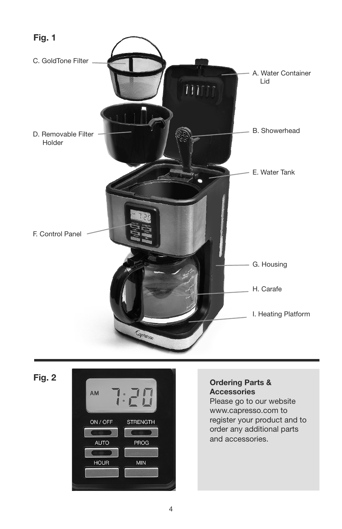





### **Accessories**

Please go to our website www.capresso.com to register your product and to order any additional parts and accessories.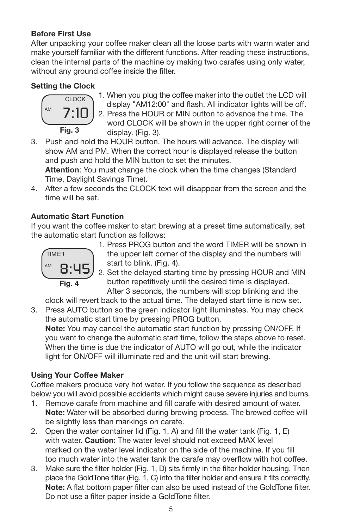#### **Before First Use**

After unpacking your coffee maker clean all the loose parts with warm water and make yourself familiar with the different functions. After reading these instructions, clean the internal parts of the machine by making two carafes using only water, without any ground coffee inside the filter.

#### **Setting the Clock**



- 1. When you plug the coffee maker into the outlet the LCD will display "AM12:00" and flash. All indicator lights will be off. 2. Press the HOUR or MIN button to advance the time. The word CLOCK will be shown in the upper right corner of the display. (Fig. 3).
- 3. Push and hold the HOUR button. The hours will advance. The display will show AM and PM. When the correct hour is displayed release the button and push and hold the MIN button to set the minutes.

**Attention**: You must change the clock when the time changes (Standard Time, Daylight Savings Time).

4. After a few seconds the CLOCK text will disappear from the screen and the time will be set.

#### **Automatic Start Function**

If you want the coffee maker to start brewing at a preset time automatically, set the automatic start function as follows:



 1. Press PROG button and the word TIMER will be shown in the upper left corner of the display and the numbers will start to blink. (Fig. 4).

 2. Set the delayed starting time by pressing HOUR and MIN button repetitively until the desired time is displayed. After 3 seconds, the numbers will stop blinking and the

clock will revert back to the actual time. The delayed start time is now set.

3. Press AUTO button so the green indicator light illuminates. You may check the automatic start time by pressing PROG button.

**Note:** You may cancel the automatic start function by pressing ON/OFF. If you want to change the automatic start time, follow the steps above to reset. When the time is due the indicator of AUTO will go out, while the indicator light for ON/OFF will illuminate red and the unit will start brewing.

#### **Using Your Coffee Maker**

Coffee makers produce very hot water. If you follow the sequence as described below you will avoid possible accidents which might cause severe injuries and burns.

- 1. Remove carafe from machine and fill carafe with desired amount of water. **Note:** Water will be absorbed during brewing process. The brewed coffee will be slightly less than markings on carafe.
- 2. Open the water container lid (Fig. 1, A) and fill the water tank (Fig. 1, E) with water. **Caution:** The water level should not exceed MAX level marked on the water level indicator on the side of the machine. If you fill too much water into the water tank the carafe may overflow with hot coffee.
- 3. Make sure the filter holder (Fig. 1, D) sits firmly in the filter holder housing. Then place the GoldTone filter (Fig. 1, C) into the filter holder and ensure it fits correctly. **Note:** A flat bottom paper filter can also be used instead of the GoldTone filter. Do not use a filter paper inside a GoldTone filter.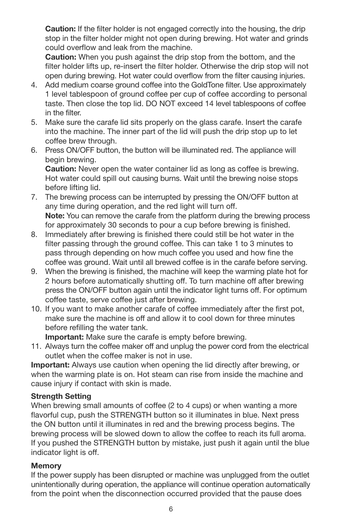**Caution:** If the filter holder is not engaged correctly into the housing, the drip stop in the filter holder might not open during brewing. Hot water and grinds could overflow and leak from the machine.

**Caution:** When you push against the drip stop from the bottom, and the filter holder lifts up, re-insert the filter holder. Otherwise the drip stop will not open during brewing. Hot water could overflow from the filter causing injuries.

- 4. Add medium coarse ground coffee into the GoldTone filter. Use approximately 1 level tablespoon of ground coffee per cup of coffee according to personal taste. Then close the top lid. DO NOT exceed 14 level tablespoons of coffee in the filter.
- 5. Make sure the carafe lid sits properly on the glass carafe. Insert the carafe into the machine. The inner part of the lid will push the drip stop up to let coffee brew through.
- 6. Press ON/OFF button, the button will be illuminated red. The appliance will begin brewing.

**Caution:** Never open the water container lid as long as coffee is brewing. Hot water could spill out causing burns. Wait until the brewing noise stops before lifting lid.

- 7. The brewing process can be interrupted by pressing the ON/OFF button at any time during operation, and the red light will turn off. **Note:** You can remove the carafe from the platform during the brewing process for approximately 30 seconds to pour a cup before brewing is finished.
- 8. Immediately after brewing is finished there could still be hot water in the filter passing through the ground coffee. This can take 1 to 3 minutes to pass through depending on how much coffee you used and how fine the coffee was ground. Wait until all brewed coffee is in the carafe before serving.
- 9. When the brewing is finished, the machine will keep the warming plate hot for 2 hours before automatically shutting off. To turn machine off after brewing press the ON/OFF button again until the indicator light turns off. For optimum coffee taste, serve coffee just after brewing.
- 10. If you want to make another carafe of coffee immediately after the first pot, make sure the machine is off and allow it to cool down for three minutes before refilling the water tank.

**Important:** Make sure the carafe is empty before brewing.

11. Always turn the coffee maker off and unplug the power cord from the electrical outlet when the coffee maker is not in use.

**Important:** Always use caution when opening the lid directly after brewing, or when the warming plate is on. Hot steam can rise from inside the machine and cause injury if contact with skin is made.

#### **Strength Setting**

When brewing small amounts of coffee (2 to 4 cups) or when wanting a more flavorful cup, push the STRENGTH button so it illuminates in blue. Next press the ON button until it illuminates in red and the brewing process begins. The brewing process will be slowed down to allow the coffee to reach its full aroma. If you pushed the STRENGTH button by mistake, just push it again until the blue indicator light is off.

#### **Memory**

If the power supply has been disrupted or machine was unplugged from the outlet unintentionally during operation, the appliance will continue operation automatically from the point when the disconnection occurred provided that the pause does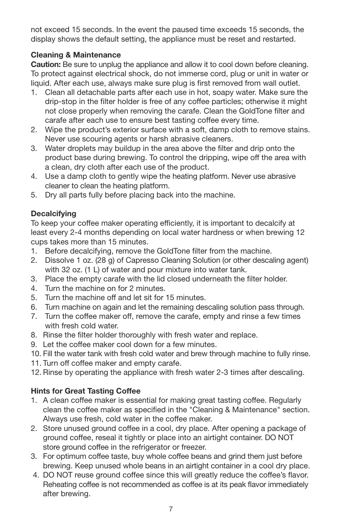not exceed 15 seconds. In the event the paused time exceeds 15 seconds, the display shows the default setting, the appliance must be reset and restarted.

#### **Cleaning & Maintenance**

**Caution:** Be sure to unplug the appliance and allow it to cool down before cleaning. To protect against electrical shock, do not immerse cord, plug or unit in water or liquid. After each use, always make sure plug is first removed from wall outlet.

- 1. Clean all detachable parts after each use in hot, soapy water. Make sure the drip-stop in the filter holder is free of any coffee particles; otherwise it might not close properly when removing the carafe. Clean the GoldTone filter and carafe after each use to ensure best tasting coffee every time.
- 2. Wipe the product's exterior surface with a soft, damp cloth to remove stains. Never use scouring agents or harsh abrasive cleaners.
- 3. Water droplets may buildup in the area above the filter and drip onto the product base during brewing. To control the dripping, wipe off the area with a clean, dry cloth after each use of the product.
- 4. Use a damp cloth to gently wipe the heating platform. Never use abrasive cleaner to clean the heating platform.
- 5. Dry all parts fully before placing back into the machine.

#### **Decalcifying**

To keep your coffee maker operating efficiently, it is important to decalcify at least every 2-4 months depending on local water hardness or when brewing 12 cups takes more than 15 minutes.

- 1. Before decalcifying, remove the GoldTone filter from the machine.
- 2. Dissolve 1 oz. (28 g) of Capresso Cleaning Solution (or other descaling agent) with 32 oz. (1 L) of water and pour mixture into water tank.
- 3. Place the empty carafe with the lid closed underneath the filter holder.
- 4. Turn the machine on for 2 minutes.
- 5. Turn the machine off and let sit for 15 minutes.
- 6. Turn machine on again and let the remaining descaling solution pass through.
- 7. Turn the coffee maker off, remove the carafe, empty and rinse a few times with fresh cold water.
- 8. Rinse the filter holder thoroughly with fresh water and replace.
- 9. Let the coffee maker cool down for a few minutes.
- 10. Fill the water tank with fresh cold water and brew through machine to fully rinse.
- 11. Turn off coffee maker and empty carafe.
- 12. Rinse by operating the appliance with fresh water 2-3 times after descaling.

#### **Hints for Great Tasting Coffee**

- 1. A clean coffee maker is essential for making great tasting coffee. Regularly clean the coffee maker as specified in the "Cleaning & Maintenance" section. Always use fresh, cold water in the coffee maker.
- 2. Store unused ground coffee in a cool, dry place. After opening a package of ground coffee, reseal it tightly or place into an airtight container. DO NOT store ground coffee in the refrigerator or freezer.
- 3. For optimum coffee taste, buy whole coffee beans and grind them just before brewing. Keep unused whole beans in an airtight container in a cool dry place.
- 4. DO NOT reuse ground coffee since this will greatly reduce the coffee's flavor. Reheating coffee is not recommended as coffee is at its peak flavor immediately after brewing.